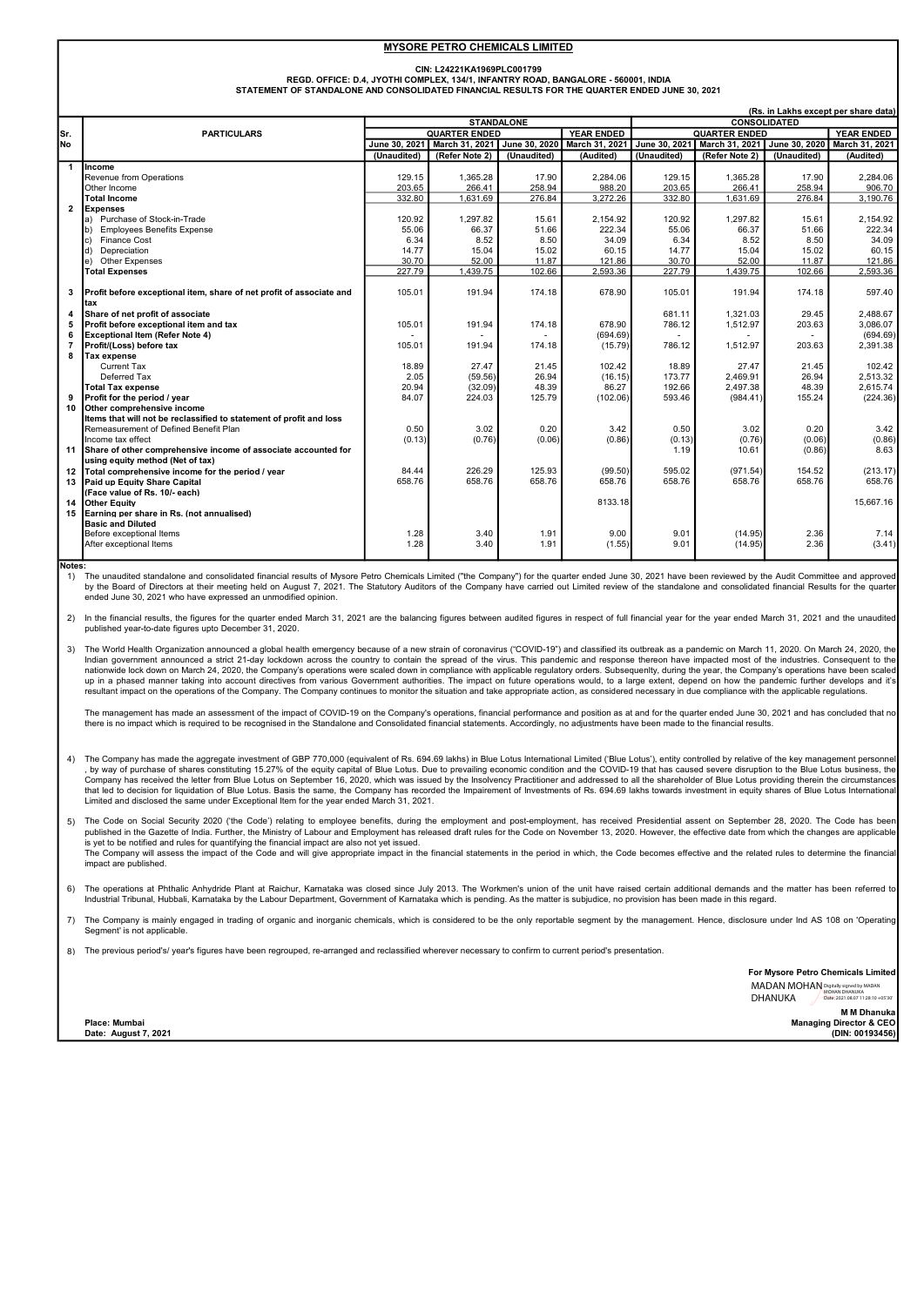#### MYSORE PETRO CHEMICALS LIMITED

CIN: L24221KA1969PLC001799

STATEMENT OF STANDALONE AND CONSOLIDATED FINANCIAL RESULTS FOR THE QUARTER ENDED JUNE 30, 2021 REGD. OFFICE: D.4, JYOTHI COMPLEX, 134/1, INFANTRY ROAD, BANGALORE - 560001, INDIA

| (Rs. in Lakhs except per share data) |                                                                                  |                      |                |             |                              |                      |                              |             |                      |  |
|--------------------------------------|----------------------------------------------------------------------------------|----------------------|----------------|-------------|------------------------------|----------------------|------------------------------|-------------|----------------------|--|
|                                      |                                                                                  | <b>STANDALONE</b>    |                |             |                              | <b>CONSOLIDATED</b>  |                              |             |                      |  |
| Sr.                                  | <b>PARTICULARS</b>                                                               | <b>QUARTER ENDED</b> |                |             | <b>YEAR ENDED</b>            | <b>QUARTER ENDED</b> |                              |             | <b>YEAR ENDED</b>    |  |
| <b>No</b>                            |                                                                                  | June 30, 2021        | March 31, 2021 |             | June 30, 2020 March 31, 2021 | June 30, 2021        | March 31, 2021 June 30, 2020 |             | March 31, 2021       |  |
|                                      |                                                                                  | (Unaudited)          | (Refer Note 2) | (Unaudited) | (Audited)                    | (Unaudited)          | (Refer Note 2)               | (Unaudited) | (Audited)            |  |
| $\overline{\mathbf{1}}$              | <b>Income</b>                                                                    |                      |                |             |                              |                      |                              |             |                      |  |
|                                      | Revenue from Operations                                                          | 129.15               | 1.365.28       | 17.90       | 2.284.06                     | 129.15               | 1.365.28                     | 17.90       | 2.284.06             |  |
|                                      | Other Income                                                                     | 203.65               | 266.41         | 258.94      | 988.20                       | 203.65               | 266.41                       | 258.94      | 906.70               |  |
|                                      | <b>Total Income</b>                                                              | 332.80               | 1,631.69       | 276.84      | 3,272.26                     | 332.80               | 1,631.69                     | 276.84      | 3.190.76             |  |
| $\overline{2}$                       | <b>Expenses</b>                                                                  |                      |                |             |                              |                      |                              |             |                      |  |
|                                      | a) Purchase of Stock-in-Trade                                                    | 120.92               | 1,297.82       | 15.61       | 2,154.92                     | 120.92               | 1.297.82                     | 15.61       | 2,154.92             |  |
|                                      | <b>Employees Benefits Expense</b><br>$\mathsf{b}$                                | 55.06                | 66.37          | 51.66       | 222.34                       | 55.06                | 66.37                        | 51.66       | 222.34               |  |
|                                      | Finance Cost<br>$ c\rangle$                                                      | 6.34                 | 8.52           | 8.50        | 34.09                        | 6.34                 | 8.52                         | 8.50        | 34.09                |  |
|                                      | Depreciation<br>d)                                                               | 14.77                | 15.04          | 15.02       | 60.15                        | 14.77                | 15.04                        | 15.02       | 60.15                |  |
|                                      | e) Other Expenses                                                                | 30.70                | 52.00          | 11.87       | 121.86                       | 30.70                | 52.00                        | 11.87       | 121.86               |  |
|                                      | <b>Total Expenses</b>                                                            | 227.79               | 1.439.75       | 102.66      | 2,593.36                     | 227.79               | 1.439.75                     | 102.66      | 2.593.36             |  |
|                                      |                                                                                  |                      |                |             |                              |                      |                              |             |                      |  |
| 3                                    | Profit before exceptional item, share of net profit of associate and             | 105.01               | 191.94         | 174.18      | 678.90                       | 105.01               | 191.94                       | 174.18      | 597.40               |  |
|                                      | tax                                                                              |                      |                |             |                              |                      |                              |             |                      |  |
| 4                                    | Share of net profit of associate                                                 |                      |                |             |                              | 681.11               | 1.321.03                     | 29.45       | 2.488.67             |  |
| 6                                    | Profit before exceptional item and tax<br><b>Exceptional Item (Refer Note 4)</b> | 105.01               | 191.94         | 174.18      | 678.90<br>(694.69)           | 786.12               | 1,512.97                     | 203.63      | 3,086.07<br>(694.69) |  |
| 7                                    | Profit/(Loss) before tax                                                         | 105.01               | 191.94         | 174.18      |                              | 786.12               | 1.512.97                     |             | 2.391.38             |  |
| 8                                    | <b>Tax expense</b>                                                               |                      |                |             | (15.79)                      |                      |                              | 203.63      |                      |  |
|                                      | Current Tax                                                                      | 18.89                | 27.47          | 21.45       | 102.42                       | 18.89                | 27.47                        | 21.45       | 102.42               |  |
|                                      | Deferred Tax                                                                     | 2.05                 | (59.56)        | 26.94       | (16.15)                      | 173.77               | 2,469.91                     | 26.94       | 2,513.32             |  |
|                                      | <b>Total Tax expense</b>                                                         | 20.94                | (32.09)        | 48.39       | 86.27                        | 192.66               | 2,497.38                     | 48.39       | 2,615.74             |  |
| 9                                    | Profit for the period / year                                                     | 84.07                | 224.03         | 125.79      | (102.06)                     | 593.46               | (984.41)                     | 155.24      | (224.36)             |  |
| 10                                   | Other comprehensive income                                                       |                      |                |             |                              |                      |                              |             |                      |  |
|                                      | Items that will not be reclassified to statement of profit and loss              |                      |                |             |                              |                      |                              |             |                      |  |
|                                      | Remeasurement of Defined Benefit Plan                                            | 0.50                 | 3.02           | 0.20        | 3.42                         | 0.50                 | 3.02                         | 0.20        | 3.42                 |  |
|                                      | Income tax effect                                                                | (0.13)               | (0.76)         | (0.06)      | (0.86)                       | (0.13)               | (0.76)                       | (0.06)      | (0.86)               |  |
|                                      | 11 Share of other comprehensive income of associate accounted for                |                      |                |             |                              | 1.19                 | 10.61                        | (0.86)      | 8.63                 |  |
|                                      | using equity method (Net of tax)                                                 |                      |                |             |                              |                      |                              |             |                      |  |
|                                      | 12 Total comprehensive income for the period / year                              | 84.44                | 226.29         | 125.93      | (99.50)                      | 595.02               | (971.54)                     | 154.52      | (213.17)             |  |
|                                      | 13 Paid up Equity Share Capital                                                  | 658.76               | 658.76         | 658.76      | 658.76                       | 658.76               | 658.76                       | 658.76      | 658.76               |  |
|                                      | (Face value of Rs. 10/- each)                                                    |                      |                |             |                              |                      |                              |             |                      |  |
| 14                                   | <b>Other Equity</b>                                                              |                      |                |             | 8133.18                      |                      |                              |             | 15.667.16            |  |
|                                      | 15 Earning per share in Rs. (not annualised)                                     |                      |                |             |                              |                      |                              |             |                      |  |
|                                      | <b>Basic and Diluted</b>                                                         |                      |                |             |                              |                      |                              |             |                      |  |
|                                      | Before exceptional Items                                                         | 1.28                 | 3.40           | 1.91        | 9.00                         | 9.01                 | (14.95)                      | 2.36        | 7.14                 |  |
|                                      | After exceptional Items                                                          | 1.28                 | 3.40           | 1.91        | (1.55)                       | 9.01                 | (14.95)                      | 2.36        | (3.41)               |  |
|                                      |                                                                                  |                      |                |             |                              |                      |                              |             |                      |  |

Notes:

1) .<br>The unaudited standalone and consolidated financial results of Mysore Petro Chemicals Limited ("the Company") for the quarter ended June 30, 2021 have been reviewed by the Audit Committee and approved by the Board of Directors at their meeting held on August 7, 2021. The Statutory Auditors of the Company have carried out Limited review of the standalone and consolidated financial Results for the quarter with the Company ended June 30, 2021 who have expressed an unmodified opinion.

2) In the financial results, the figures for the quarter ended March 31, 2021 are the balancing figures between audited figures in respect of full financial year for the year ended March 31, 2021 and the unaudited published year-to-date figures upto December 31, 2020.

3) The World Health Organization announced a global health emergency because of a new strain of coronavirus ("COVID-19") and classified its outbreak as a pandemic on March 11, 2020. On March 24, 2020, the Indian government announced a strict 21-day lockdown across the country to contain the spread of the virus. This pandemic and response thereon have impacted most of the industries. Consequent to the<br>nationwide lock down on up in a phased manner taking into account directives from various Government authorities. The impact on future operations would, to a large extent, depend on how the pandemic further develops and it's resultant impact on the operations of the Company. The Company continues to monitor the situation and take appropriate action, as considered necessary in due compliance with the applicable regulations.

The management has made an assessment of the impact of COVID-19 on the Company's operations, financial performance and position as at and for the quarter ended June 30, 2021 and has concluded that no<br>there is no impact whi

- 4) The Company has made the aggregate investment of GBP 770,000 (equivalent of Rs. 694.69 lakhs) in Blue Lotus International Limited ('Blue Lotus'), entity controlled by relative of the key management personnel , by way of purchase of shares constituting 15.27% of the equity capital of Blue Lotus. Due to prevailing economic condition and the COVID-19 that has caused severe disruption to the Blue Lotus business, the<br>Company has re that led to decision for liquidation of Blue Lotus. Basis the same, the Company has recorded the Impairement of Investments of Rs. 694.69 lakhs towards investment in equity shares of Blue Lotus International Limited and disclosed the same under Exceptional Item for the year ended March 31, 2021.
- 5) The Code on Social Security 2020 ('the Code') relating to employee benefits, during the employment and post-employment, has received Presidential assent on September 28, 2020. The Code has been<br>published in the Gazette is yet to be notified and rules for quantifying the financial impact are also not yet issued.<br>The Company will assess the impact of the Code and will give appropriate impact in the financial statements in the period in whi impact are published.
- 6) The operations at Phthalic Anhydride Plant at Raichur, Karnataka was closed since July 2013. The Workmen's union of the unit have raised certain additional demands and the matter has been referred to Industrial Tribunal, Hubbali, Karnataka by the Labour Department, Government of Karnataka which is pending. As the matter is subjudice, no provision has been made in this regard.
- 7) The Company is mainly engaged in trading of organic and inorganic chemicals, which is considered to be the only reportable segment by the management. Hence, disclosure under Ind AS 108 on 'Operating Segment' is not applicable
- 8) The previous period's/ year's figures have been regrouped, re-arranged and reclassified wherever necessary to confirm to current period's presentation.

For Mysore Petro Chemicals Limited MADAN MOHAN Digitally signed by MADAN MOHAN DHANUKA Date: 2021.08.07 11:28:10 +05'30'DHANUKA

> M M Dhanuka Managing Director & CEO (DIN: 00193456)

Place: Mumbai Date: August 7, 2021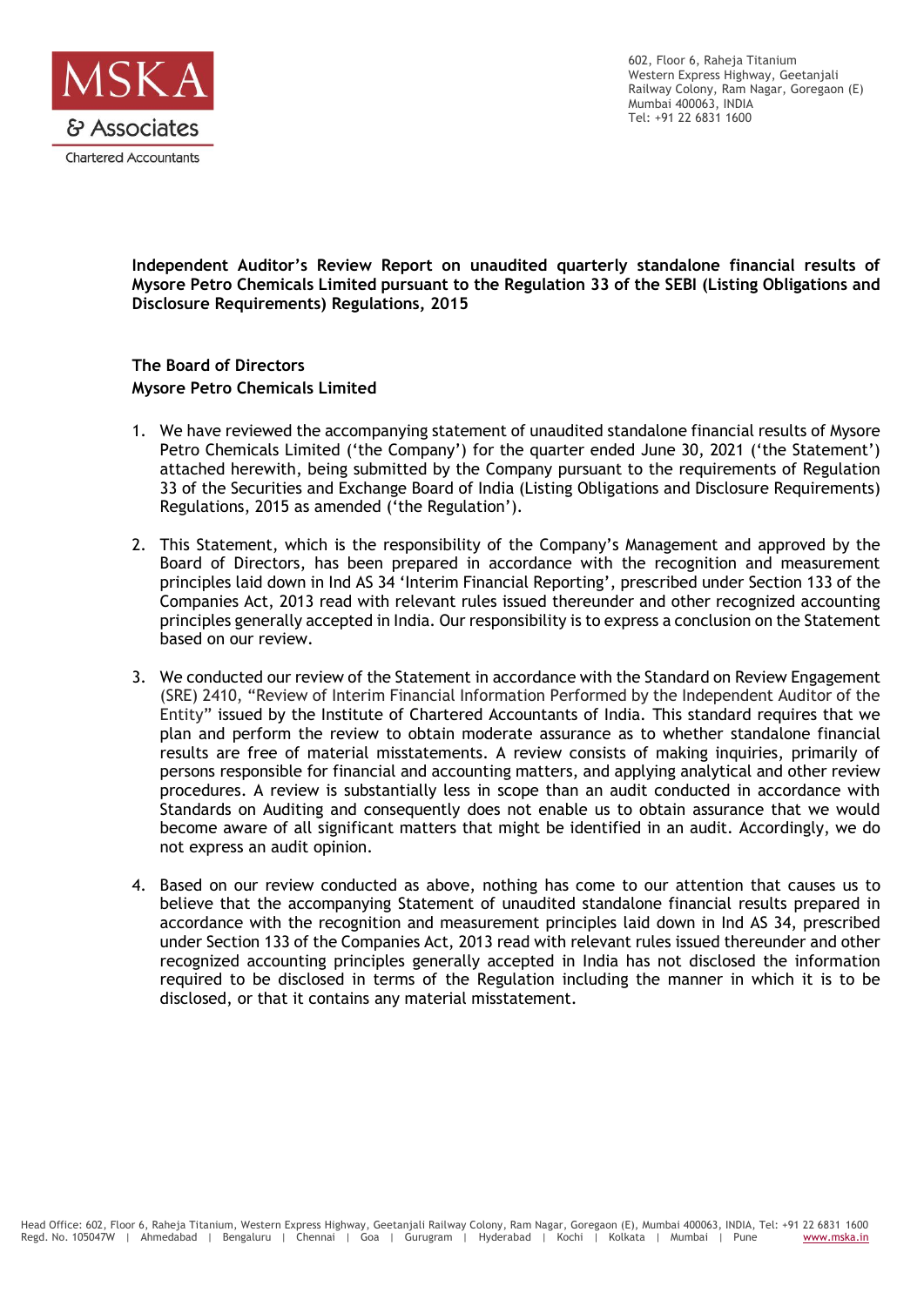

602, Floor 6, Raheja Titanium Western Express Highway, Geetanjali Railway Colony, Ram Nagar, Goregaon (E) Mumbai 400063, INDIA Tel: +91 22 6831 1600

**Independent Auditor's Review Report on unaudited quarterly standalone financial results of Mysore Petro Chemicals Limited pursuant to the Regulation 33 of the SEBI (Listing Obligations and Disclosure Requirements) Regulations, 2015**

**The Board of Directors Mysore Petro Chemicals Limited**

- 1. We have reviewed the accompanying statement of unaudited standalone financial results of Mysore Petro Chemicals Limited ('the Company') for the quarter ended June 30, 2021 ('the Statement') attached herewith, being submitted by the Company pursuant to the requirements of Regulation 33 of the Securities and Exchange Board of India (Listing Obligations and Disclosure Requirements) Regulations, 2015 as amended ('the Regulation').
- 2. This Statement, which is the responsibility of the Company's Management and approved by the Board of Directors, has been prepared in accordance with the recognition and measurement principles laid down in Ind AS 34 'Interim Financial Reporting', prescribed under Section 133 of the Companies Act, 2013 read with relevant rules issued thereunder and other recognized accounting principles generally accepted in India. Our responsibility is to express a conclusion on the Statement based on our review.
- 3. We conducted our review of the Statement in accordance with the Standard on Review Engagement (SRE) 2410, "Review of Interim Financial Information Performed by the Independent Auditor of the Entity" issued by the Institute of Chartered Accountants of India. This standard requires that we plan and perform the review to obtain moderate assurance as to whether standalone financial results are free of material misstatements. A review consists of making inquiries, primarily of persons responsible for financial and accounting matters, and applying analytical and other review procedures. A review is substantially less in scope than an audit conducted in accordance with Standards on Auditing and consequently does not enable us to obtain assurance that we would become aware of all significant matters that might be identified in an audit. Accordingly, we do not express an audit opinion.
- 4. Based on our review conducted as above, nothing has come to our attention that causes us to believe that the accompanying Statement of unaudited standalone financial results prepared in accordance with the recognition and measurement principles laid down in Ind AS 34, prescribed under Section 133 of the Companies Act, 2013 read with relevant rules issued thereunder and other recognized accounting principles generally accepted in India has not disclosed the information required to be disclosed in terms of the Regulation including the manner in which it is to be disclosed, or that it contains any material misstatement.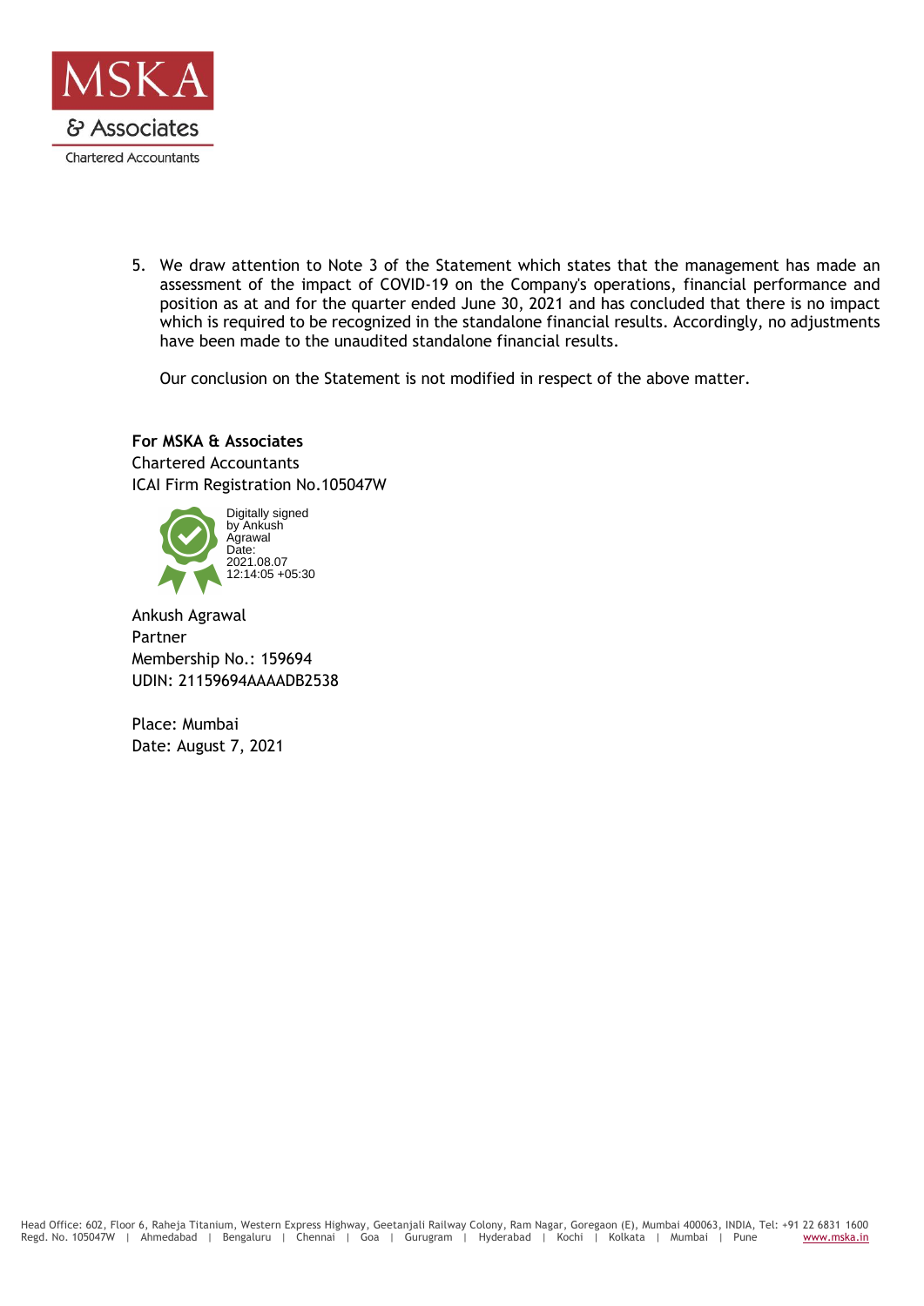

5. We draw attention to Note 3 of the Statement which states that the management has made an assessment of the impact of COVID-19 on the Company's operations, financial performance and position as at and for the quarter ended June 30, 2021 and has concluded that there is no impact which is required to be recognized in the standalone financial results. Accordingly, no adjustments have been made to the unaudited standalone financial results.

Our conclusion on the Statement is not modified in respect of the above matter.

# **For MSKA & Associates**

Chartered Accountants ICAI Firm Registration No.105047W



Ankush Agrawal Partner Membership No.: 159694 UDIN: 21159694AAAADB2538

Place: Mumbai Date: August 7, 2021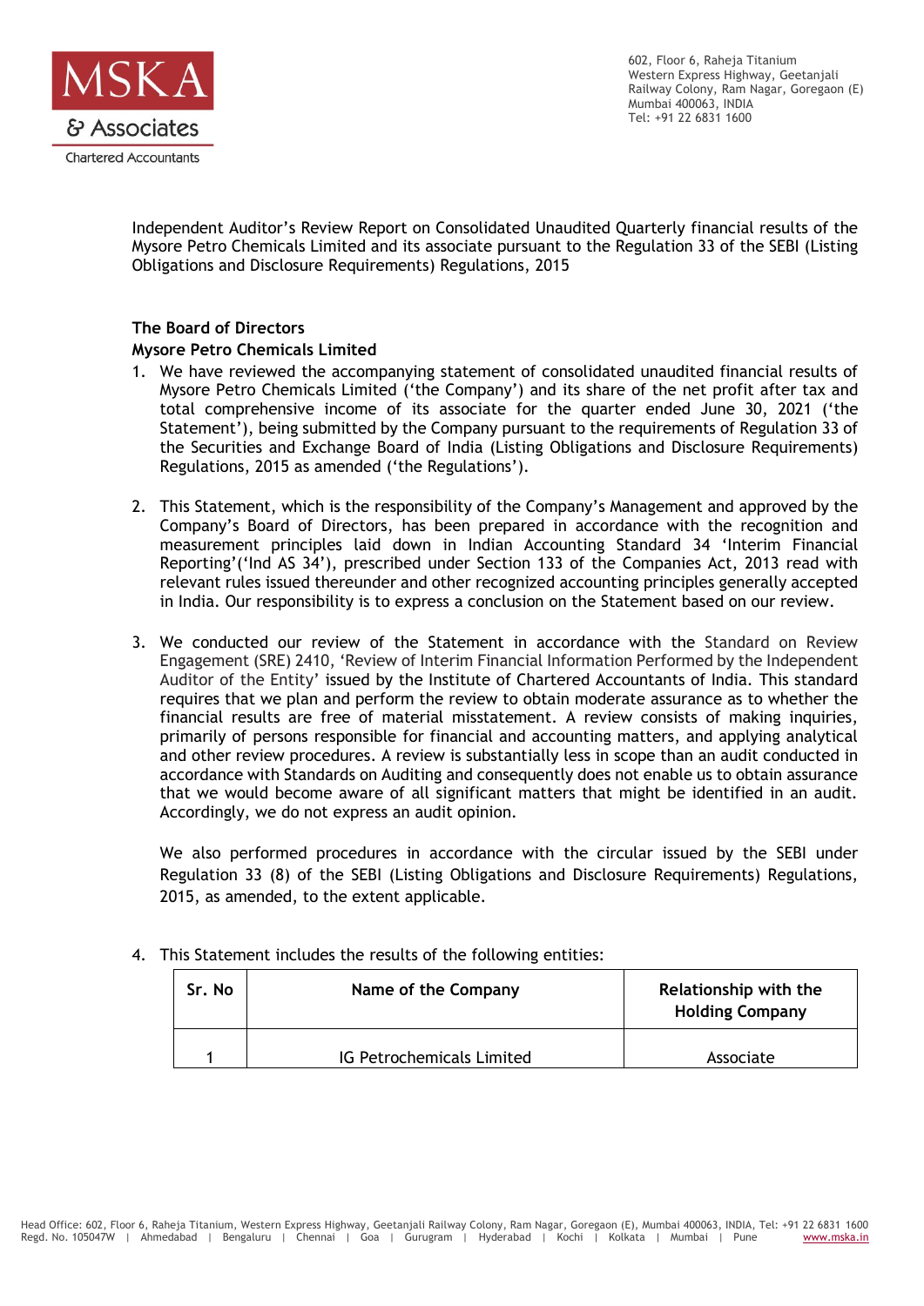

602, Floor 6, Raheja Titanium Western Express Highway, Geetanjali Railway Colony, Ram Nagar, Goregaon (E) Mumbai 400063, INDIA Tel: +91 22 6831 1600

Independent Auditor's Review Report on Consolidated Unaudited Quarterly financial results of the Mysore Petro Chemicals Limited and its associate pursuant to the Regulation 33 of the SEBI (Listing Obligations and Disclosure Requirements) Regulations, 2015

## **The Board of Directors**

## **Mysore Petro Chemicals Limited**

- 1. We have reviewed the accompanying statement of consolidated unaudited financial results of Mysore Petro Chemicals Limited ('the Company') and its share of the net profit after tax and total comprehensive income of its associate for the quarter ended June 30, 2021 ('the Statement'), being submitted by the Company pursuant to the requirements of Regulation 33 of the Securities and Exchange Board of India (Listing Obligations and Disclosure Requirements) Regulations, 2015 as amended ('the Regulations').
- 2. This Statement, which is the responsibility of the Company's Management and approved by the Company's Board of Directors, has been prepared in accordance with the recognition and measurement principles laid down in Indian Accounting Standard 34 'Interim Financial Reporting'('Ind AS 34'), prescribed under Section 133 of the Companies Act, 2013 read with relevant rules issued thereunder and other recognized accounting principles generally accepted in India. Our responsibility is to express a conclusion on the Statement based on our review.
- 3. We conducted our review of the Statement in accordance with the Standard on Review Engagement (SRE) 2410, 'Review of Interim Financial Information Performed by the Independent Auditor of the Entity' issued by the Institute of Chartered Accountants of India. This standard requires that we plan and perform the review to obtain moderate assurance as to whether the financial results are free of material misstatement. A review consists of making inquiries, primarily of persons responsible for financial and accounting matters, and applying analytical and other review procedures. A review is substantially less in scope than an audit conducted in accordance with Standards on Auditing and consequently does not enable us to obtain assurance that we would become aware of all significant matters that might be identified in an audit. Accordingly, we do not express an audit opinion.

We also performed procedures in accordance with the circular issued by the SEBI under Regulation 33 (8) of the SEBI (Listing Obligations and Disclosure Requirements) Regulations, 2015, as amended, to the extent applicable.

| Sr. No | Name of the Company       | Relationship with the<br><b>Holding Company</b> |  |  |
|--------|---------------------------|-------------------------------------------------|--|--|
|        | IG Petrochemicals Limited | Associate                                       |  |  |

4. This Statement includes the results of the following entities: